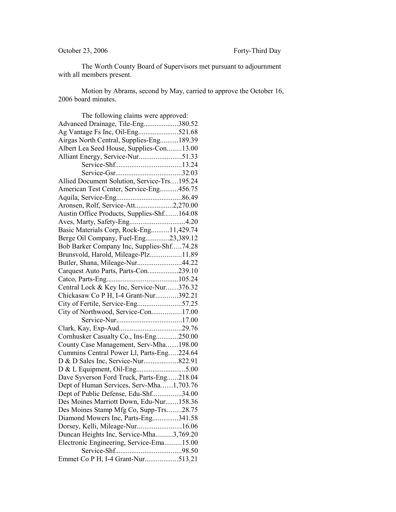The Worth County Board of Supervisors met pursuant to adjournment with all members present.

Motion by Abrams, second by May, carried to approve the October 16, 2006 board minutes.

| The following claims were approved:         |  |
|---------------------------------------------|--|
| Advanced Drainage, Tile-Eng380.52           |  |
| Ag Vantage Fs Inc, Oil-Eng521.68            |  |
| Airgas North Central, Supplies-Eng189.39    |  |
| Albert Lea Seed House, Supplies-Con13.00    |  |
| Alliant Energy, Service-Nur51.33            |  |
|                                             |  |
|                                             |  |
| Allied Document Solution, Service-Trs195.24 |  |
| American Test Center, Service-Eng456.75     |  |
|                                             |  |
| Aronsen, Rolf, Service-Att2,270.00          |  |
| Austin Office Products, Supplies-Shf164.08  |  |
| Aves, Marty, Safety-Eng4.20                 |  |
| Basic Materials Corp, Rock-Eng11,429.74     |  |
| Berge Oil Company, Fuel-Eng23,389.12        |  |
| Bob Barker Company Inc, Supplies-Shf74.28   |  |
| Brunsvold, Harold, Mileage-Plz11.89         |  |
| Butler, Shana, Mileage-Nur44.22             |  |
| Carquest Auto Parts, Parts-Con239.10        |  |
|                                             |  |
| Central Lock & Key Inc, Service-Nur376.32   |  |
| Chickasaw Co P H, I-4 Grant-Nur392.21       |  |
| City of Fertile, Service-Eng57.25           |  |
| City of Northwood, Service-Con17.00         |  |
|                                             |  |
|                                             |  |
| Cornhusker Casualty Co., Ins-Eng250.00      |  |
| County Case Management, Serv-Mha198.00      |  |
| Cummins Central Power Ll, Parts-Eng224.64   |  |
|                                             |  |
|                                             |  |
| Dave Syverson Ford Truck, Parts-Eng218.04   |  |
| Dept of Human Services, Serv-Mha1,703.76    |  |
| Dept of Public Defense, Edu-Shf34.00        |  |
| Des Moines Marriott Down, Edu-Nur158.36     |  |
| Des Moines Stamp Mfg Co, Supp-Trs28.75      |  |
| Diamond Mowers Inc, Parts-Eng341.58         |  |
| Dorsey, Kelli, Mileage-Nur16.06             |  |
| Duncan Heights Inc, Service-Mha3,769.20     |  |
| Electronic Engineering, Service-Ema15.00    |  |
|                                             |  |
| Emmet Co P H, I-4 Grant-Nur513.21           |  |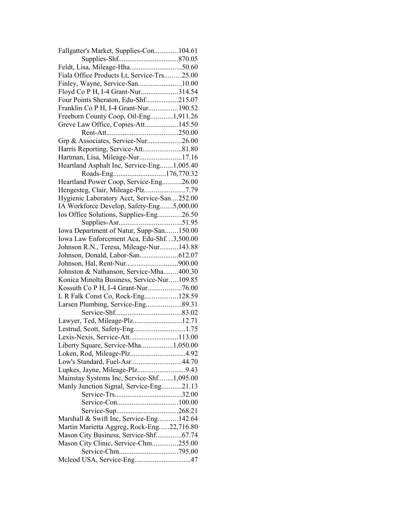| Fallgatter's Market, Supplies-Con104.61     |  |
|---------------------------------------------|--|
|                                             |  |
| Feldt, Lisa, Mileage-Hha50.60               |  |
| Fiala Office Products Lt, Service-Trs25.00  |  |
|                                             |  |
| Floyd Co P H, I-4 Grant-Nur314.54           |  |
| Four Points Sheraton, Edu-Shf215.07         |  |
| Franklin Co P H, I-4 Grant-Nur190.52        |  |
| Freeborn County Coop, Oil-Eng1,911.26       |  |
| Greve Law Office, Copies-Att145.50          |  |
|                                             |  |
| Grp & Associates, Service-Nur26.00          |  |
|                                             |  |
| Hartman, Lisa, Mileage-Nur17.16             |  |
| Heartland Asphalt Inc, Service-Eng1,005.40  |  |
|                                             |  |
| Heartland Power Coop, Service-Eng26.00      |  |
|                                             |  |
| Hygienic Laboratory Acct, Service-San252.00 |  |
| IA Workforce Develop, Safety-Eng5,000.00    |  |
| Ios Office Solutions, Supplies-Eng26.50     |  |
|                                             |  |
| Iowa Department of Natur, Supp-San150.00    |  |
| Iowa Law Enforcement Aca, Edu-Shf3,500.00   |  |
| Johnson R.N., Teresa, Mileage-Nur143.88     |  |
|                                             |  |
|                                             |  |
| Johnston & Nathanson, Service-Mha400.30     |  |
| Konica Minolta Business, Service-Nur109.85  |  |
|                                             |  |
| L R Falk Const Co, Rock-Eng128.59           |  |
| Larsen Plumbing, Service-Eng 89.31          |  |
|                                             |  |
| Lawyer, Ted, Mileage-Plz12.71               |  |
| Lestrud, Scott, Safety-Eng1.75              |  |
| Lexis-Nexis, Service-Att113.00              |  |
| Liberty Square, Service-Mha1,050.00         |  |
|                                             |  |
| Low's Standard, Fuel-Asr44.70               |  |
|                                             |  |
| Mainstay Systems Inc, Service-Shf1,095.00   |  |
| Manly Junction Signal, Service-Eng21.13     |  |
|                                             |  |
|                                             |  |
|                                             |  |
| Marshall & Swift Inc, Service-Eng142.64     |  |
| Martin Marietta Aggreg, Rock-Eng22,716.80   |  |
| Mason City Business, Service-Shf67.74       |  |
| Mason City Clinic, Service-Chm255.00        |  |
|                                             |  |
|                                             |  |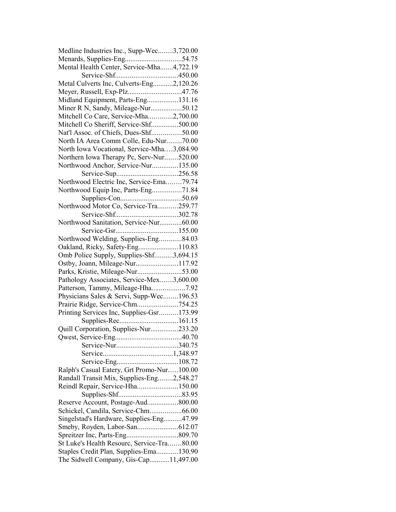| Medline Industries Inc., Supp-Wec3,720.00                  |  |
|------------------------------------------------------------|--|
|                                                            |  |
| Mental Health Center, Service-Mha4,722.19                  |  |
|                                                            |  |
| Metal Culverts Inc, Culverts-Eng2,120.26                   |  |
| Meyer, Russell, Exp-Plz47.76                               |  |
| Midland Equipment, Parts-Eng131.16                         |  |
| Miner R N, Sandy, Mileage-Nur50.12                         |  |
| Mitchell Co Care, Service-Mha2,700.00                      |  |
| Mitchell Co Sheriff, Service-Shf500.00                     |  |
| Nat'l Assoc. of Chiefs, Dues-Shf50.00                      |  |
| North IA Area Comm Colle, Edu-Nur70.00                     |  |
| North Iowa Vocational, Service-Mha3,084.90                 |  |
| Northern Iowa Therapy Pc, Serv-Nur520.00                   |  |
| Northwood Anchor, Service-Nur135.00                        |  |
|                                                            |  |
| Northwood Electric Inc, Service-Ema79.74                   |  |
|                                                            |  |
| Northwood Equip Inc, Parts-Eng71.84                        |  |
|                                                            |  |
| Northwood Motor Co, Service-Tra259.77<br>Service-Shf302.78 |  |
|                                                            |  |
| Northwood Sanitation, Service-Nur60.00                     |  |
|                                                            |  |
| Northwood Welding, Supplies-Eng84.03                       |  |
| Oakland, Ricky, Safety-Eng110.83                           |  |
| Omb Police Supply, Supplies-Shf3,694.15                    |  |
| Ostby, Joann, Mileage-Nur117.92                            |  |
| Parks, Kristie, Mileage-Nur53.00                           |  |
| Pathology Associates, Service-Mex3,600.00                  |  |
| Patterson, Tammy, Mileage-Hha7.92                          |  |
| Physicians Sales & Servi, Supp-Wec196.53                   |  |
| Prairie Ridge, Service-Chm754.25                           |  |
| Printing Services Inc, Supplies-Gsr173.99                  |  |
|                                                            |  |
| Quill Corporation, Supplies-Nur233.20                      |  |
|                                                            |  |
| Service-Nur340.75                                          |  |
|                                                            |  |
|                                                            |  |
| Ralph's Casual Eatery, Grt Promo-Nur100.00                 |  |
| Randall Transit Mix, Supplies-Eng2,548.27                  |  |
| Reindl Repair, Service-Hha150.00                           |  |
|                                                            |  |
| Reserve Account, Postage-Aud800.00                         |  |
| Schickel, Candila, Service-Chm66.00                        |  |
| Singelstad's Hardware, Supplies-Eng47.99                   |  |
|                                                            |  |
|                                                            |  |
| St Luke's Health Resourc, Service-Tra80.00                 |  |
| Staples Credit Plan, Supplies-Ema130.90                    |  |
| The Sidwell Company, Gis-Cap11,497.00                      |  |